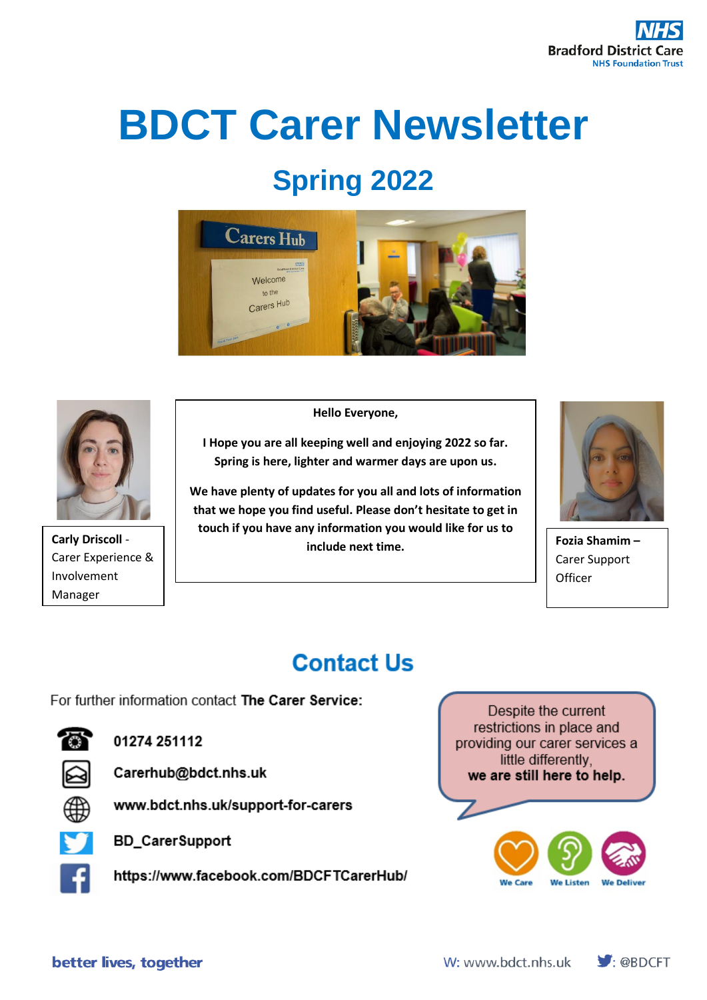# **BDCT Carer Newsletter**

# **Spring 2022**





Carer Experience & Involvement Manager

**Hello Everyone,**

**I Hope you are all keeping well and enjoying 2022 so far. Spring is here, lighter and warmer days are upon us.**

**We have plenty of updates for you all and lots of information that we hope you find useful. Please don't hesitate to get in touch if you have any information you would like for us to include next time.**<br>include next time.



**Fozia Shamim –** Carer Support **Officer** 

## **Contact Us**

For further information contact The Carer Service:



01274 251112



Carerhub@bdct.nhs.uk



www.bdct.nhs.uk/support-for-carers



**BD\_CarerSupport** 

https://www.facebook.com/BDCFTCarerHub/

Despite the current restrictions in place and providing our carer services a little differently. we are still here to help.



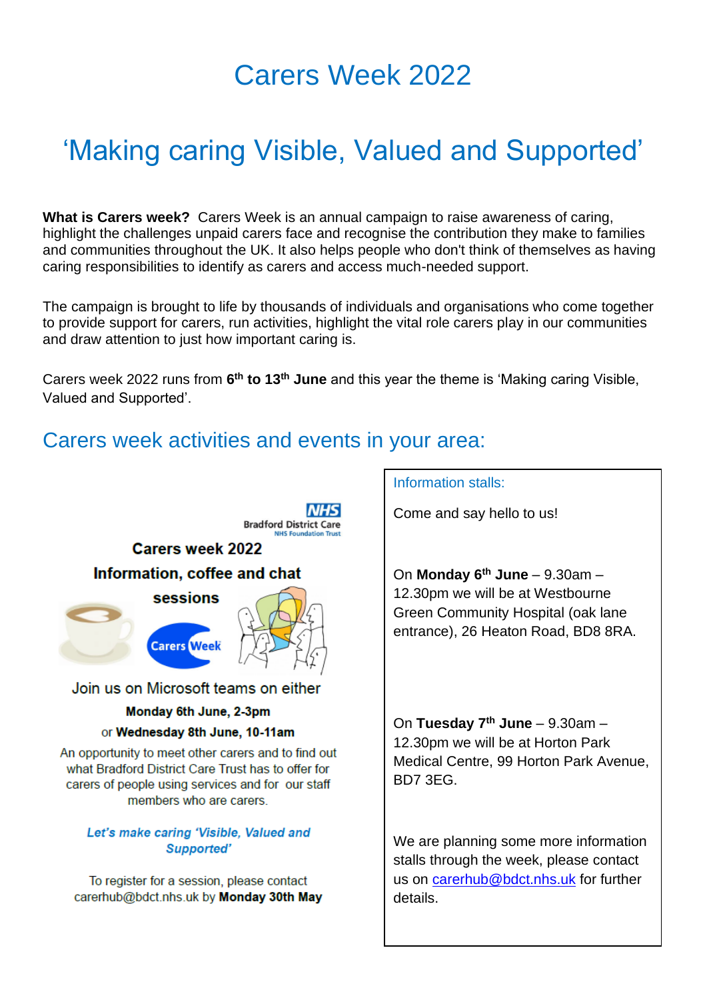## Carers Week 2022

# 'Making caring Visible, Valued and Supported'

**What is Carers week?** Carers Week is an annual campaign to raise awareness of caring, highlight the challenges unpaid carers face and recognise the contribution they make to families and communities throughout the UK. It also helps people who don't think of themselves as having caring responsibilities to identify as carers and access much-needed support.

The campaign is brought to life by thousands of individuals and organisations who come together to provide support for carers, run activities, highlight the vital role carers play in our communities and draw attention to just how important caring is.

Carers week 2022 runs from **6 th to 13th June** and this year the theme is 'Making caring Visible, Valued and Supported'.

### Carers week activities and events in your area:



what Bradford District Care Trust has to offer for carers of people using services and for our staff members who are carers.

#### Let's make caring 'Visible, Valued and Supported'

To register for a session, please contact carerhub@bdct.nhs.uk by Monday 30th May

#### Information stalls:

Come and say hello to us!

On **Monday 6th June** – 9.30am – 12.30pm we will be at Westbourne Green Community Hospital (oak lane entrance), 26 Heaton Road, BD8 8RA.

On **Tuesday 7th June** – 9.30am – 12.30pm we will be at Horton Park Medical Centre, 99 Horton Park Avenue, BD7 3EG.

We are planning some more information stalls through the week, please contact us on [carerhub@bdct.nhs.uk](mailto:carerhub@bdct.nhs.uk) for further details.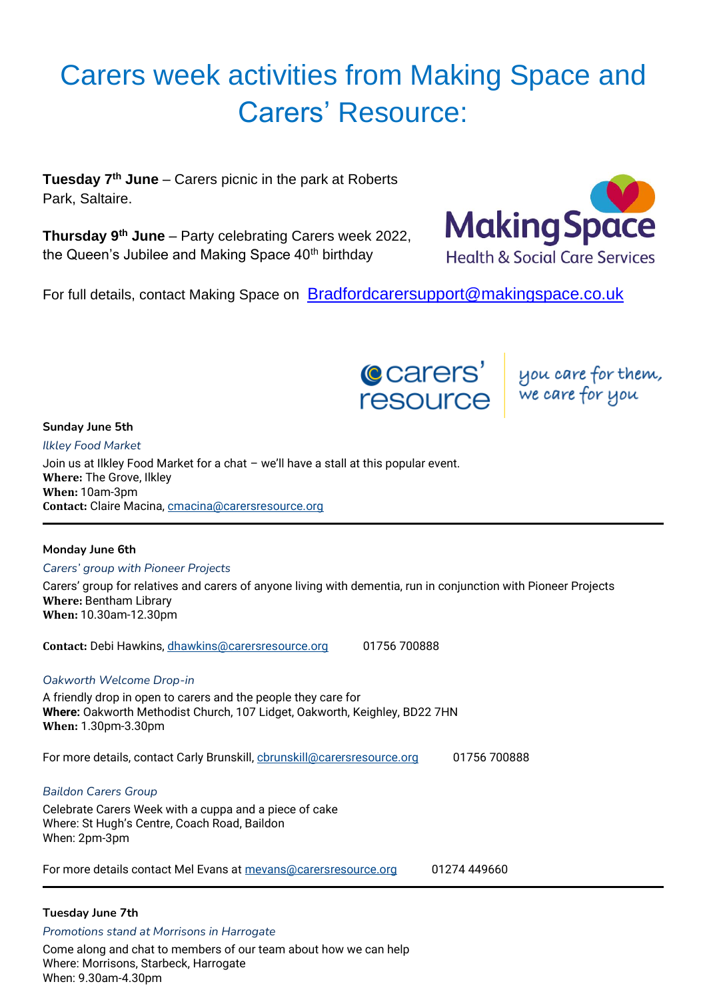# Carers week activities from Making Space and Carers' Resource:

**Tuesday 7th June** – Carers picnic in the park at Roberts Park, Saltaire.

**Thursday 9th June** – Party celebrating Carers week 2022, the Queen's Jubilee and Making Space 40<sup>th</sup> birthday



For full details, contact Making Space on [Bradfordcarersupport@makingspace.co.uk](mailto:Bradfordcarersupport@makingspace.co.uk)



#### **Sunday June 5th**

*Ilkley Food Market* Join us at Ilkley Food Market for a chat – we'll have a stall at this popular event. **Where:** The Grove, Ilkley **When:** 10am-3pm **Contact:** Claire Macina, [cmacina@carersresource.org](mailto:cmacina@carersresource.org)

#### **Monday June 6th**

*Carers' group with Pioneer Projects*

Carers' group for relatives and carers of anyone living with dementia, run in conjunction with Pioneer Projects **Where:** Bentham Library **When:** 10.30am-12.30pm

**Contact:** Debi Hawkins, [dhawkins@carersresource.org](mailto:dhawkins@carersresource.org) 01756 700888

#### *Oakworth Welcome Drop-in*

A friendly drop in open to carers and the people they care for **Where:** Oakworth Methodist Church, 107 Lidget, Oakworth, Keighley, BD22 7HN **When:** 1.30pm-3.30pm

For more details, contact Carly Brunskill, [cbrunskill@carersresource.org](mailto:cbrunskill@carersresource.org) 01756 700888

#### *Baildon Carers Group*

Celebrate Carers Week with a cuppa and a piece of cake Where: St Hugh's Centre, Coach Road, Baildon When: 2pm-3pm

For more details contact Mel Evans at [mevans@carersresource.org](mailto:mevans@carersresource.org) 01274 449660

#### **Tuesday June 7th**

*Promotions stand at Morrisons in Harrogate*

Come along and chat to members of our team about how we can help Where: Morrisons, Starbeck, Harrogate When: 9.30am-4.30pm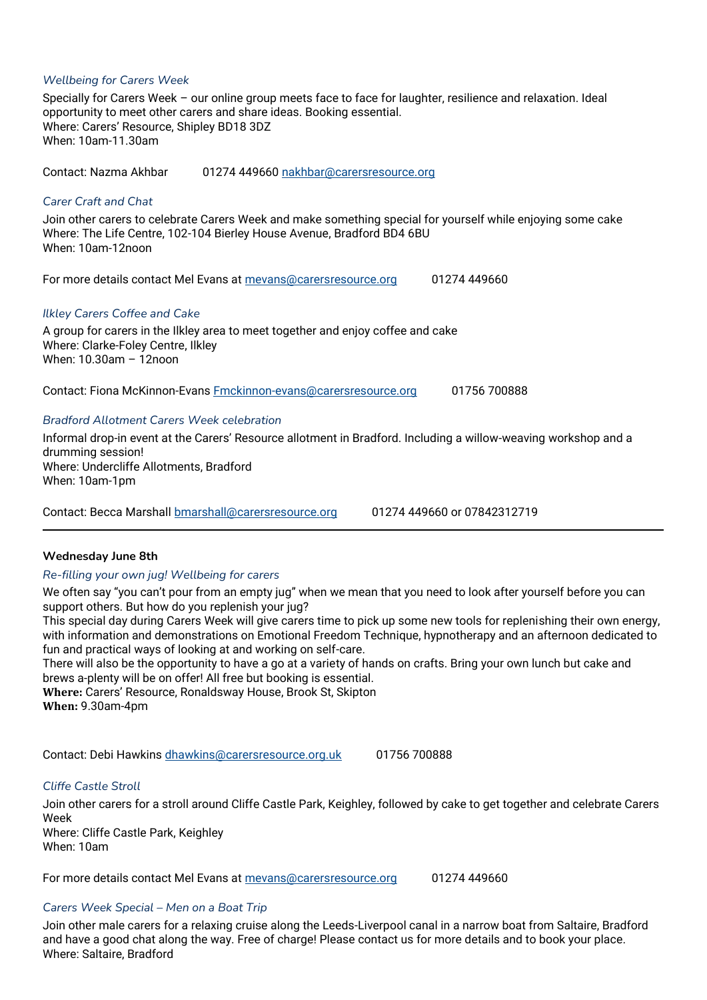#### *Wellbeing for Carers Week*

Specially for Carers Week – our online group meets face to face for laughter, resilience and relaxation. Ideal opportunity to meet other carers and share ideas. Booking essential. Where: Carers' Resource, Shipley BD18 3DZ When: 10am-11.30am

Contact: Nazma Akhbar 01274 449660 [nakhbar@carersresource.org](mailto:nakhbar@carersresource.org)

#### *Carer Craft and Chat*

Join other carers to celebrate Carers Week and make something special for yourself while enjoying some cake Where: The Life Centre, 102-104 Bierley House Avenue, Bradford BD4 6BU When: 10am-12noon

For more details contact Mel Evans at [mevans@carersresource.org](mailto:mevans@carersresource.org) 01274 449660

#### *Ilkley Carers Coffee and Cake*

A group for carers in the Ilkley area to meet together and enjoy coffee and cake Where: Clarke-Foley Centre, Ilkley When: 10.30am – 12noon

Contact: Fiona McKinnon-Evans [Fmckinnon-evans@carersresource.org](mailto:Fmckinnon-evans@carersresource.org) 01756 700888

#### *Bradford Allotment Carers Week celebration*

Informal drop-in event at the Carers' Resource allotment in Bradford. Including a willow-weaving workshop and a drumming session! Where: Undercliffe Allotments, Bradford When: 10am-1pm

Contact: Becca Marshall [bmarshall@carersresource.org](mailto:bmarshall@carersresource.org) 01274 449660 or 07842312719

#### **Wednesday June 8th**

#### *Re-filling your own jug! Wellbeing for carers*

We often say "you can't pour from an empty jug" when we mean that you need to look after yourself before you can support others. But how do you replenish your jug?

This special day during Carers Week will give carers time to pick up some new tools for replenishing their own energy, with information and demonstrations on Emotional Freedom Technique, hypnotherapy and an afternoon dedicated to fun and practical ways of looking at and working on self-care.

There will also be the opportunity to have a go at a variety of hands on crafts. Bring your own lunch but cake and brews a-plenty will be on offer! All free but booking is essential.

**Where:** Carers' Resource, Ronaldsway House, Brook St, Skipton **When:** 9.30am-4pm

Contact: Debi Hawkins [dhawkins@carersresource.org.uk](mailto:dhawkins@carersresource.org.uk) 01756 700888

#### *Cliffe Castle Stroll*

Join other carers for a stroll around Cliffe Castle Park, Keighley, followed by cake to get together and celebrate Carers Week

Where: Cliffe Castle Park, Keighley When: 10am

For more details contact Mel Evans at [mevans@carersresource.org](mailto:mevans@carersresource.org) 01274 449660

#### *Carers Week Special – Men on a Boat Trip*

Join other male carers for a relaxing cruise along the Leeds-Liverpool canal in a narrow boat from Saltaire, Bradford and have a good chat along the way. Free of charge! Please contact us for more details and to book your place. Where: Saltaire, Bradford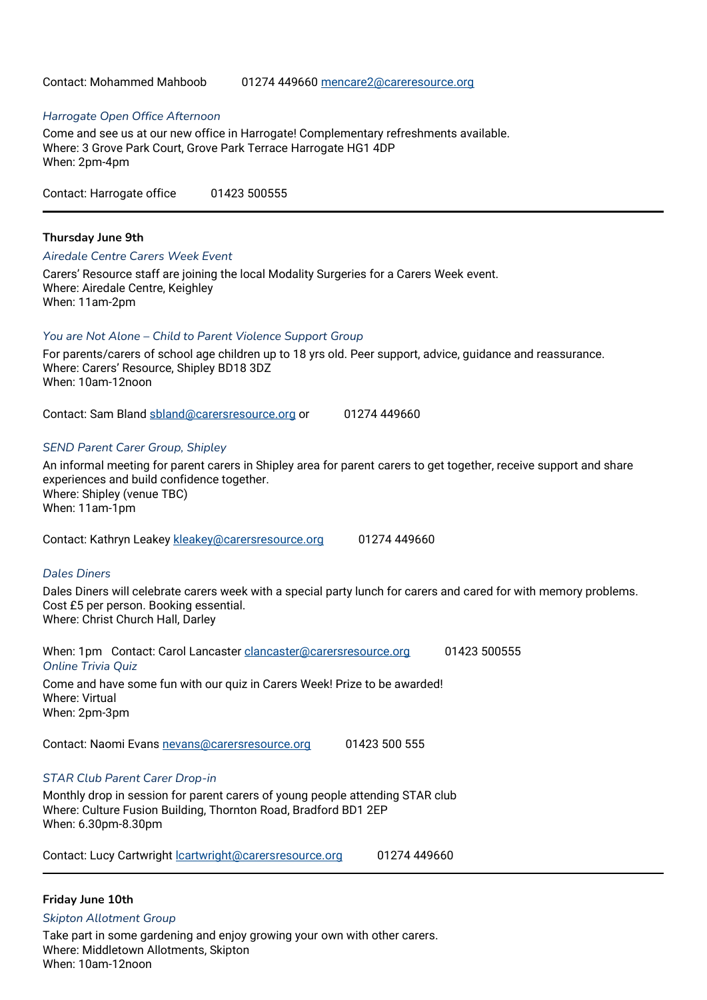#### Contact: Mohammed Mahboob 01274 449660 [mencare2@careresource.org](mailto:mencare2@careresource.org)

#### *Harrogate Open Office Afternoon*

Come and see us at our new office in Harrogate! Complementary refreshments available. Where: 3 Grove Park Court, Grove Park Terrace Harrogate HG1 4DP When: 2pm-4pm

Contact: Harrogate office 01423 500555

#### **Thursday June 9th**

#### *Airedale Centre Carers Week Event*

Carers' Resource staff are joining the local Modality Surgeries for a Carers Week event. Where: Airedale Centre, Keighley When: 11am-2pm

#### *You are Not Alone – Child to Parent Violence Support Group*

For parents/carers of school age children up to 18 yrs old. Peer support, advice, guidance and reassurance. Where: Carers' Resource, Shipley BD18 3DZ When: 10am-12noon

Contact: Sam Bland [sbland@carersresource.org](mailto:sbland@carersresource.org) or 01274 449660

#### *SEND Parent Carer Group, Shipley*

An informal meeting for parent carers in Shipley area for parent carers to get together, receive support and share experiences and build confidence together. Where: Shipley (venue TBC) When: 11am-1pm

Contact: Kathryn Leakey [kleakey@carersresource.org](mailto:kleakey@carersresource.org) 01274 449660

#### *Dales Diners*

Dales Diners will celebrate carers week with a special party lunch for carers and cared for with memory problems. Cost £5 per person. Booking essential. Where: Christ Church Hall, Darley

When: 1pm Contact: Carol Lancaster [clancaster@carersresource.org](mailto:clancaster@carersresource.org) 01423 500555 *Online Trivia Quiz* Come and have some fun with our quiz in Carers Week! Prize to be awarded! Where: Virtual When: 2pm-3pm

Contact: Naomi Evans [nevans@carersresource.org](mailto:nevans@carersresource.org) 01423 500 555

#### *STAR Club Parent Carer Drop-in*

Monthly drop in session for parent carers of young people attending STAR club Where: Culture Fusion Building, Thornton Road, Bradford BD1 2EP When: 6.30pm-8.30pm

Contact: Lucy Cartwright [lcartwright@carersresource.org](mailto:lcartwright@carersresource.org) 01274 449660

#### **Friday June 10th**

*Skipton Allotment Group*

Take part in some gardening and enjoy growing your own with other carers. Where: Middletown Allotments, Skipton When: 10am-12noon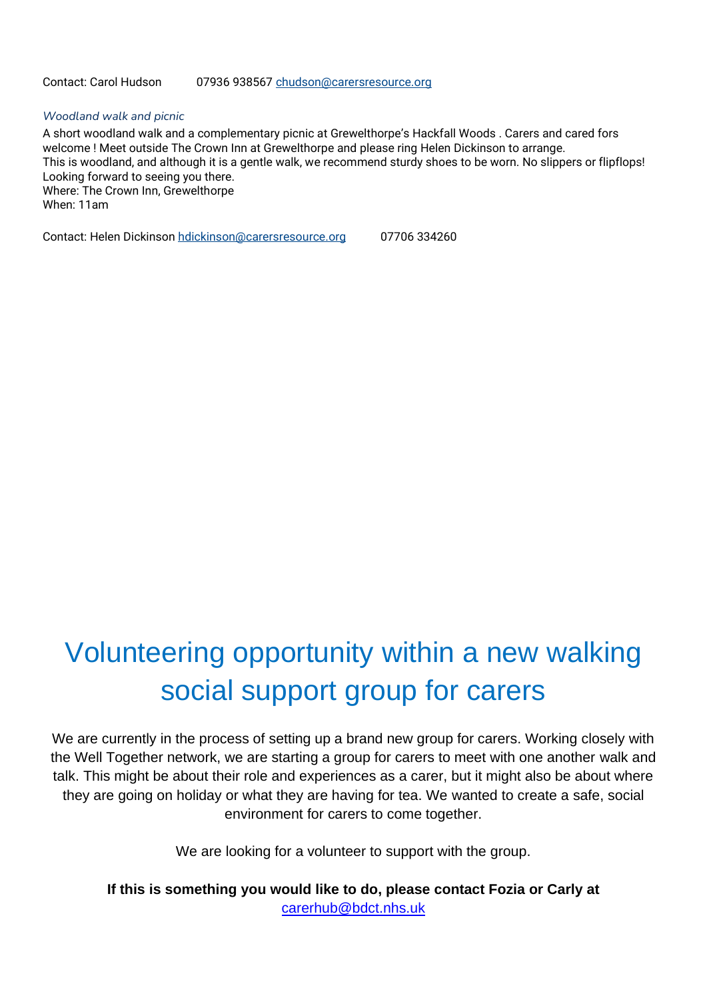#### *Woodland walk and picnic*

A short woodland walk and a complementary picnic at Grewelthorpe's Hackfall Woods . Carers and cared fors welcome ! Meet outside The Crown Inn at Grewelthorpe and please ring Helen Dickinson to arrange. This is woodland, and although it is a gentle walk, we recommend sturdy shoes to be worn. No slippers or flipflops! Looking forward to seeing you there. Where: The Crown Inn, Grewelthorpe When: 11am

Contact: Helen Dickinson [hdickinson@carersresource.org](mailto:hdickinson@carersresource.org) 07706 334260

# Volunteering opportunity within a new walking social support group for carers

We are currently in the process of setting up a brand new group for carers. Working closely with the Well Together network, we are starting a group for carers to meet with one another walk and talk. This might be about their role and experiences as a carer, but it might also be about where they are going on holiday or what they are having for tea. We wanted to create a safe, social environment for carers to come together.

We are looking for a volunteer to support with the group.

**If this is something you would like to do, please contact Fozia or Carly at** [carerhub@bdct.nhs.uk](mailto:carerhub@bdct.nhs.uk)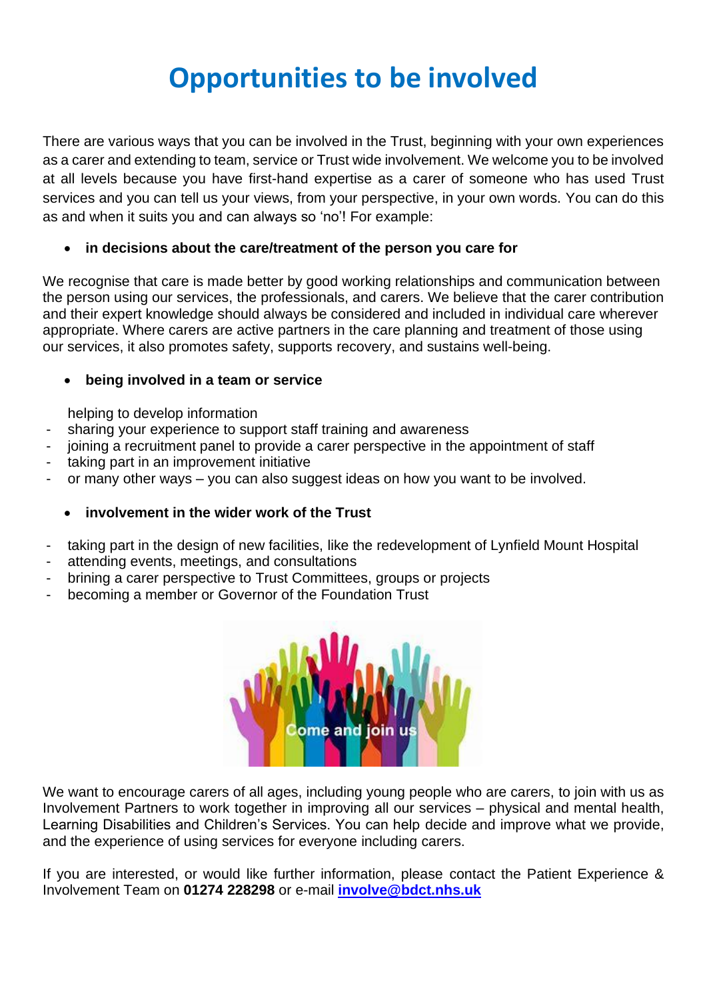# **Opportunities to be involved**

There are various ways that you can be involved in the Trust, beginning with your own experiences as a carer and extending to team, service or Trust wide involvement. We welcome you to be involved at all levels because you have first-hand expertise as a carer of someone who has used Trust services and you can tell us your views, from your perspective, in your own words. You can do this as and when it suits you and can always so 'no'! For example:

#### • **in decisions about the care/treatment of the person you care for**

We recognise that care is made better by good working relationships and communication between the person using our services, the professionals, and carers. We believe that the carer contribution and their expert knowledge should always be considered and included in individual care wherever appropriate. Where carers are active partners in the care planning and treatment of those using our services, it also promotes safety, supports recovery, and sustains well-being.

#### • **being involved in a team or service**

helping to develop information

- sharing your experience to support staff training and awareness
- ioining a recruitment panel to provide a carer perspective in the appointment of staff
- taking part in an improvement initiative
- or many other ways you can also suggest ideas on how you want to be involved.

#### • **involvement in the wider work of the Trust**

- taking part in the design of new facilities, like the redevelopment of Lynfield Mount Hospital
- attending events, meetings, and consultations
- brining a carer perspective to Trust Committees, groups or projects
- becoming a member or Governor of the Foundation Trust



We want to encourage carers of all ages, including young people who are carers, to join with us as Involvement Partners to work together in improving all our services – physical and mental health, Learning Disabilities and Children's Services. You can help decide and improve what we provide, and the experience of using services for everyone including carers.

If you are interested, or would like further information, please contact the Patient Experience & Involvement Team on **01274 228298** or e-mail **[involve@bdct.nhs.uk](mailto:involve@bdct.nhs.uk)**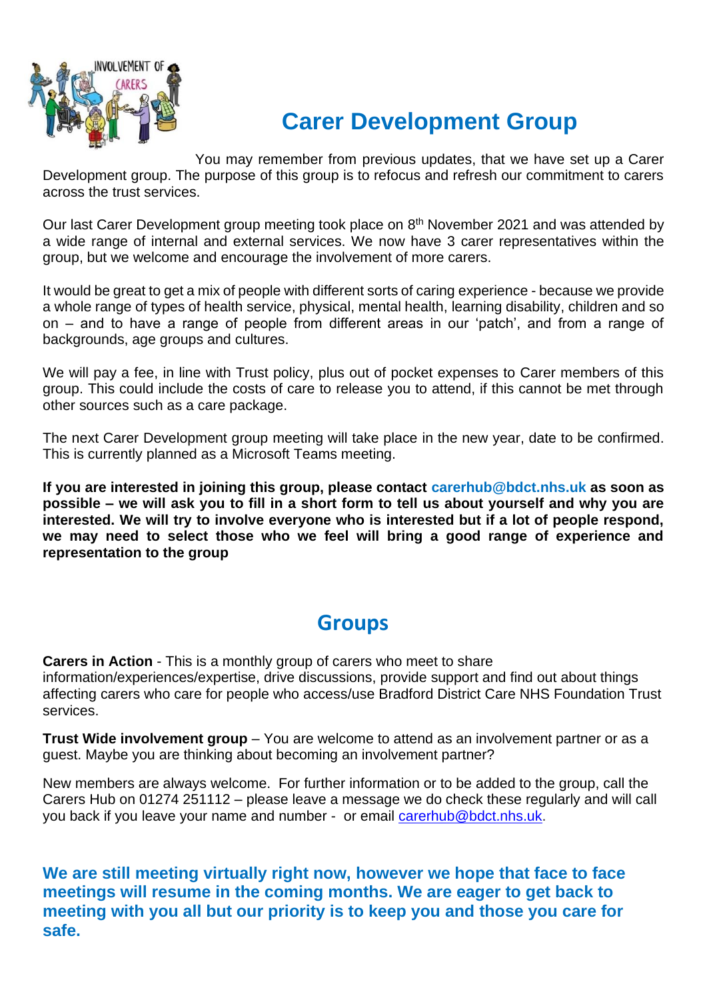

## **Carer Development Group**

You may remember from previous updates, that we have set up a Carer Development group. The purpose of this group is to refocus and refresh our commitment to carers across the trust services.

Our last Carer Development group meeting took place on 8<sup>th</sup> November 2021 and was attended by a wide range of internal and external services. We now have 3 carer representatives within the group, but we welcome and encourage the involvement of more carers.

It would be great to get a mix of people with different sorts of caring experience - because we provide a whole range of types of health service, physical, mental health, learning disability, children and so on – and to have a range of people from different areas in our 'patch', and from a range of backgrounds, age groups and cultures.

We will pay a fee, in line with Trust policy, plus out of pocket expenses to Carer members of this group. This could include the costs of care to release you to attend, if this cannot be met through other sources such as a care package.

The next Carer Development group meeting will take place in the new year, date to be confirmed. This is currently planned as a Microsoft Teams meeting.

**If you are interested in joining this group, please contact carerhub@bdct.nhs.uk as soon as possible – we will ask you to fill in a short form to tell us about yourself and why you are interested. We will try to involve everyone who is interested but if a lot of people respond, we may need to select those who we feel will bring a good range of experience and representation to the group**

### **Groups**

**Carers in Action** - This is a monthly group of carers who meet to share information/experiences/expertise, drive discussions, provide support and find out about things affecting carers who care for people who access/use Bradford District Care NHS Foundation Trust services.

**Trust Wide involvement group** – You are welcome to attend as an involvement partner or as a guest. Maybe you are thinking about becoming an involvement partner?

New members are always welcome. For further information or to be added to the group, call the Carers Hub on 01274 251112 – please leave a message we do check these regularly and will call you back if you leave your name and number - or email [carerhub@bdct.nhs.uk.](mailto:carerhub@bdct.nhs.uk)

**We are still meeting virtually right now, however we hope that face to face meetings will resume in the coming months. We are eager to get back to meeting with you all but our priority is to keep you and those you care for safe.**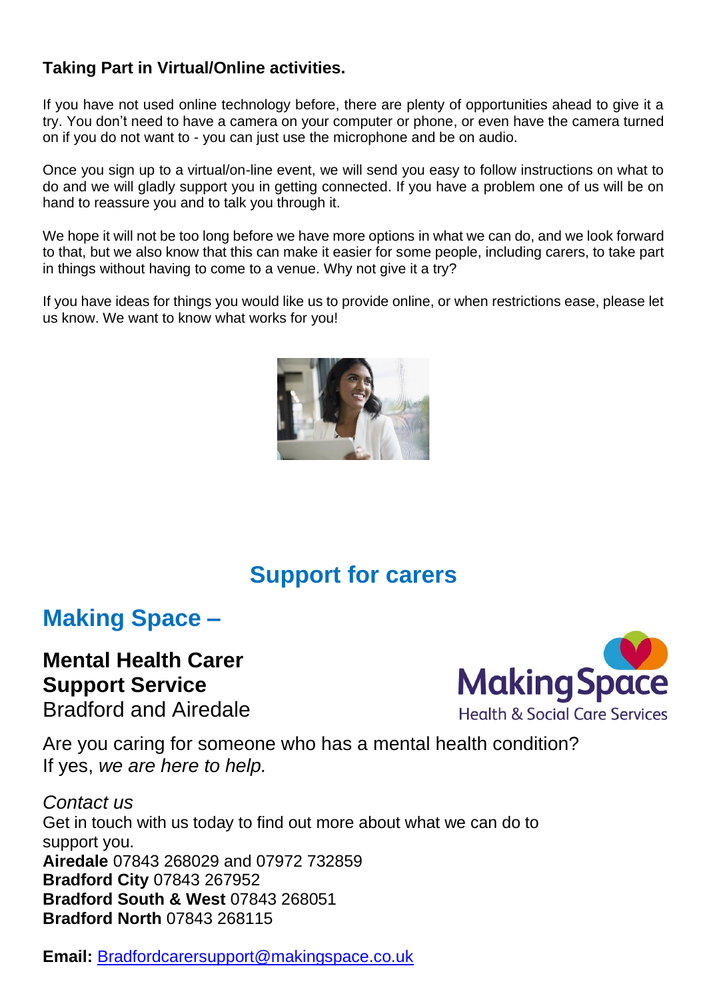### **Taking Part in Virtual/Online activities.**

If you have not used online technology before, there are plenty of opportunities ahead to give it a try. You don't need to have a camera on your computer or phone, or even have the camera turned on if you do not want to - you can just use the microphone and be on audio.

Once you sign up to a virtual/on-line event, we will send you easy to follow instructions on what to do and we will gladly support you in getting connected. If you have a problem one of us will be on hand to reassure you and to talk you through it.

We hope it will not be too long before we have more options in what we can do, and we look forward to that, but we also know that this can make it easier for some people, including carers, to take part in things without having to come to a venue. Why not give it a try?

If you have ideas for things you would like us to provide online, or when restrictions ease, please let us know. We want to know what works for you!



## **Support for carers**

## **Making Space –**

### **Mental Health Carer Support Service**

Bradford and Airedale



Are you caring for someone who has a mental health condition? If yes, *we are here to help.*

*Contact us* Get in touch with us today to find out more about what we can do to support you. **Airedale** 07843 268029 and 07972 732859 **Bradford City** 07843 267952 **Bradford South & West** 07843 268051 **Bradford North** 07843 268115

**Email:** [Bradfordcarersupport@makingspace.co.uk](mailto:Bradfordcarersupport@makingspace.co.uk)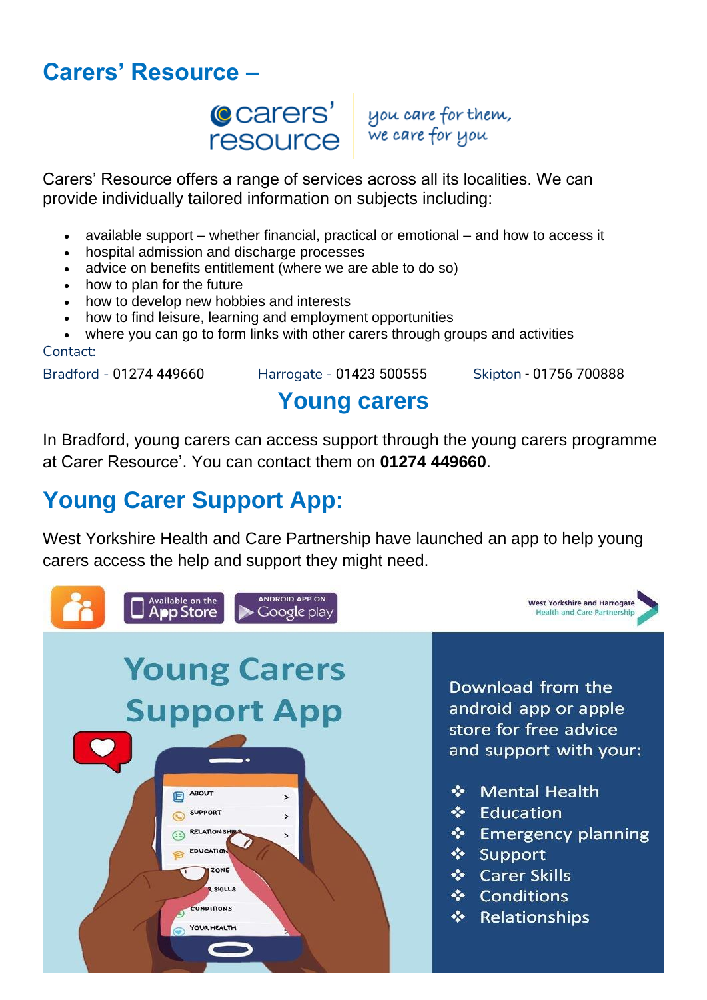## **Carers' Resource –**

**C**carers' resource

you care for them, we care for you

Carers' Resource offers a range of services across all its localities. We can provide individually tailored information on subjects including:

- available support whether financial, practical or emotional and how to access it
- hospital admission and discharge processes
- advice on benefits entitlement (where we are able to do so)
- how to plan for the future
- how to develop new hobbies and interests
- how to find leisure, learning and employment opportunities
- where you can go to form links with other carers through groups and activities Contact:

Bradford - 01274 449660 Harrogate - 01423 500555 Skipton - 01756 700888

## **Young carers**

In Bradford, young carers can access support through the young carers programme at Carer Resource'. You can contact them on **01274 449660**.

## **Young Carer Support App:**

West Yorkshire Health and Care Partnership have launched an app to help young carers access the help and support they might need.